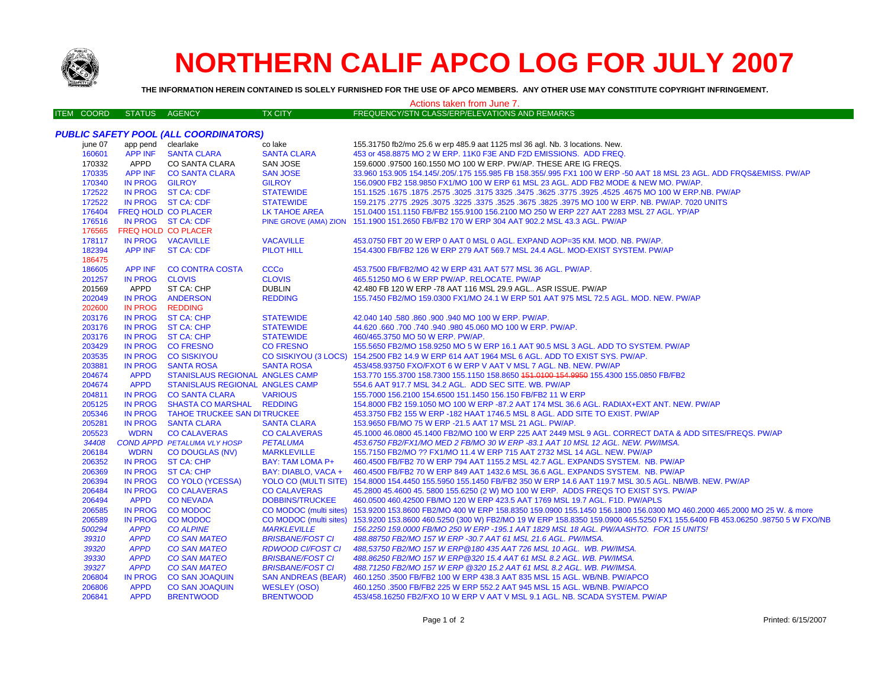

## **NORTHERN CALIF APCO LOG FOR JULY 2007**

THE INFORMATION HEREIN CONTAINED IS SOLELY FURNISHED FOR THE USE OF APCO MEMBERS. ANY OTHER USE MAY CONSTITUTE COPYRIGHT INFRINGEMENT.

| Actions taken from June 7.                   |                            |                                        |                           |                                                                                                                           |  |  |  |  |
|----------------------------------------------|----------------------------|----------------------------------------|---------------------------|---------------------------------------------------------------------------------------------------------------------------|--|--|--|--|
| <b>ITEM COORD</b>                            | <b>STATUS</b>              | AGENCY                                 | <b>TX CITY</b>            | FREQUENCY/STN CLASS/ERP/ELEVATIONS AND REMARKS                                                                            |  |  |  |  |
|                                              |                            |                                        |                           |                                                                                                                           |  |  |  |  |
| <b>PUBLIC SAFETY POOL (ALL COORDINATORS)</b> |                            |                                        |                           |                                                                                                                           |  |  |  |  |
| june 07                                      | app pend clearlake         |                                        | co lake                   | 155.31750 fb2/mo 25.6 w erp 485.9 aat 1125 msl 36 agl. Nb. 3 locations. New.                                              |  |  |  |  |
| 160601                                       | <b>APP INF</b>             | <b>SANTA CLARA</b>                     | <b>SANTA CLARA</b>        | 453 or 458,8875 MO 2 W ERP, 11K0 F3E AND F2D EMISSIONS. ADD FREQ.                                                         |  |  |  |  |
| 170332                                       | APPD                       | CO SANTA CLARA                         | <b>SAN JOSE</b>           | 159.6000 .97500 160.1550 MO 100 W ERP. PW/AP. THESE ARE IG FREQS.                                                         |  |  |  |  |
| 170335                                       | APP INF                    | <b>CO SANTA CLARA</b>                  | <b>SAN JOSE</b>           | 33.960 153.905 154.145/.205/.175 155.985 FB 158.355/.995 FX1 100 W ERP -50 AAT 18 MSL 23 AGL. ADD FRQS&EMISS. PW/AP       |  |  |  |  |
| 170340                                       | <b>IN PROG</b>             | <b>GILROY</b>                          | <b>GILROY</b>             | 156.0900 FB2 158.9850 FX1/MO 100 W ERP 61 MSL 23 AGL. ADD FB2 MODE & NEW MO. PW/AP.                                       |  |  |  |  |
| 172522                                       |                            | IN PROG ST CA: CDF                     | <b>STATEWIDE</b>          | 151.1525 .1675 .1677 .3925 .4525 .4525 .3925 .3775 .3625 .3775 .3625 .3775 .3925 .1675 .1677 .1525 .1677 .1525            |  |  |  |  |
| 172522                                       |                            | IN PROG ST CA: CDF                     | <b>STATEWIDE</b>          | 159.2175 .2775 .2925 .3075 .3225 .3675 .3625 .3675 .3825 .3975 MO 100 W ERP. NB. PW/AP. 7020 UNITS                        |  |  |  |  |
| 176404                                       | FREQ HOLD CO PLACER        |                                        | <b>LK TAHOE AREA</b>      | 151.0400 151.1150 FB/FB2 155.9100 156.2100 MO 250 W ERP 227 AAT 2283 MSL 27 AGL. YP/AP                                    |  |  |  |  |
| 176516                                       |                            | IN PROG ST CA: CDF                     |                           | PINE GROVE (AMA) ZION 151.1900 151.2650 FB/FB2 170 W ERP 304 AAT 902.2 MSL 43.3 AGL. PW/AP                                |  |  |  |  |
| 176565                                       | <b>FREQ HOLD CO PLACER</b> |                                        |                           |                                                                                                                           |  |  |  |  |
| 178117                                       |                            | IN PROG VACAVILLE                      | <b>VACAVILLE</b>          | 453.0750 FBT 20 W ERP 0 AAT 0 MSL 0 AGL. EXPAND AOP=35 KM. MOD. NB. PW/AP.                                                |  |  |  |  |
| 182394                                       | <b>APP INF</b>             | <b>ST CA: CDF</b>                      | PILOT HILL                | 154.4300 FB/FB2 126 W ERP 279 AAT 569.7 MSL 24.4 AGL. MOD-EXIST SYSTEM. PW/AP                                             |  |  |  |  |
| 186475                                       |                            |                                        |                           |                                                                                                                           |  |  |  |  |
| 186605                                       | <b>APP INF</b>             | <b>CO CONTRA COSTA</b>                 | <b>CCCo</b>               | 453.7500 FB/FB2/MO 42 W ERP 431 AAT 577 MSL 36 AGL. PW/AP.                                                                |  |  |  |  |
| 201257                                       | <b>IN PROG</b>             | <b>CLOVIS</b>                          | <b>CLOVIS</b>             | 465.51250 MO 6 W ERP PW/AP. RELOCATE. PW/AP                                                                               |  |  |  |  |
| 201569                                       | APPD                       | ST CA: CHP                             | <b>DUBLIN</b>             | 42.480 FB 120 W ERP -78 AAT 116 MSL 29.9 AGL ASR ISSUE. PW/AP                                                             |  |  |  |  |
| 202049                                       | <b>IN PROG</b>             | <b>ANDERSON</b>                        | <b>REDDING</b>            | 155.7450 FB2/MO 159.0300 FX1/MO 24.1 W ERP 501 AAT 975 MSL 72.5 AGL. MOD. NEW. PW/AP                                      |  |  |  |  |
| 202600                                       | <b>IN PROG</b>             | <b>REDDING</b>                         |                           |                                                                                                                           |  |  |  |  |
| 203176                                       | IN PROG                    | <b>ST CA: CHP</b>                      | <b>STATEWIDE</b>          | 42.040 140 .580 .860 .900 .940 MO 100 W ERP. PW/AP.                                                                       |  |  |  |  |
| 203176                                       | <b>IN PROG</b>             | <b>ST CA: CHP</b>                      | <b>STATEWIDE</b>          | 44.620 .660 .700 .740 .940 .980 45.060 MO 100 W ERP. PW/AP.                                                               |  |  |  |  |
| 203176                                       | <b>IN PROG</b>             | <b>ST CA: CHP</b>                      | <b>STATEWIDE</b>          | 460/465.3750 MO 50 W ERP. PW/AP.                                                                                          |  |  |  |  |
| 203429                                       | <b>IN PROG</b>             | <b>CO FRESNO</b>                       | <b>CO FRESNO</b>          | 155.5650 FB2/MO 158.9250 MO 5 W ERP 16.1 AAT 90.5 MSL 3 AGL. ADD TO SYSTEM. PW/AP                                         |  |  |  |  |
| 203535                                       | <b>IN PROG</b>             | <b>CO SISKIYOU</b>                     | CO SISKIYOU (3 LOCS)      | 154.2500 FB2 14.9 W ERP 614 AAT 1964 MSL 6 AGL. ADD TO EXIST SYS. PW/AP.                                                  |  |  |  |  |
| 203881                                       | IN PROG                    | <b>SANTA ROSA</b>                      | <b>SANTA ROSA</b>         | 453/458.93750 FXO/FXOT 6 W ERP V AAT V MSL 7 AGL. NB. NEW. PW/AP                                                          |  |  |  |  |
| 204674                                       | <b>APPD</b>                | <b>STANISLAUS REGIONAL ANGLES CAMP</b> |                           | 153.770 155.3700 158.7300 155.1150 158.8650 151.0100 154.9950 155.4300 155.0850 FB/FB2                                    |  |  |  |  |
| 204674                                       | <b>APPD</b>                | <b>STANISLAUS REGIONAL ANGLES CAMP</b> |                           | 554.6 AAT 917.7 MSL 34.2 AGL. ADD SEC SITE. WB. PW/AP                                                                     |  |  |  |  |
| 204811                                       | <b>IN PROG</b>             | <b>CO SANTA CLARA</b>                  | <b>VARIOUS</b>            | 155.7000 156.2100 154.6500 151.1450 156.150 FB/FB2 11 W ERP                                                               |  |  |  |  |
| 205125                                       | <b>IN PROG</b>             | <b>SHASTA CO MARSHAL</b>               | <b>REDDING</b>            | 154.8000 FB2 159.1050 MO 100 W ERP -87.2 AAT 174 MSL 36.6 AGL. RADIAX+EXT ANT. NEW. PW/AP                                 |  |  |  |  |
| 205346                                       | <b>IN PROG</b>             | <b>TAHOE TRUCKEE SAN DITRUCKEE</b>     |                           | 453.3750 FB2 155 W ERP -182 HAAT 1746.5 MSL 8 AGL. ADD SITE TO EXIST. PW/AP                                               |  |  |  |  |
| 205281                                       | <b>IN PROG</b>             | <b>SANTA CLARA</b>                     | <b>SANTA CLARA</b>        | 153.9650 FB/MO 75 W ERP -21.5 AAT 17 MSL 21 AGL. PW/AP.                                                                   |  |  |  |  |
| 205523                                       | <b>WDRN</b>                | <b>CO CALAVERAS</b>                    | <b>CO CALAVERAS</b>       | 45.1000 46.0800 45.1400 FB2/MO 100 W ERP 225 AAT 2449 MSL 9 AGL. CORRECT DATA & ADD SITES/FREQS. PW/AP                    |  |  |  |  |
| 34408                                        |                            | <b>COND APPD PETALUMA VLY HOSP</b>     | <b>PETALUMA</b>           | 453.6750 FB2/FX1/MO MED 2 FB/MO 30 W ERP -83.1 AAT 10 MSL 12 AGL. NEW. PW/IMSA.                                           |  |  |  |  |
| 206184                                       | <b>WDRN</b>                | <b>CO DOUGLAS (NV)</b>                 | <b>MARKLEVILLE</b>        | 155.7150 FB2/MO ?? FX1/MO 11.4 W ERP 715 AAT 2732 MSL 14 AGL. NEW. PW/AP                                                  |  |  |  |  |
| 206352                                       | <b>IN PROG</b>             | <b>ST CA: CHP</b>                      | BAY: TAM LOMA P+          | 460.4500 FB/FB2 70 W ERP 794 AAT 1155.2 MSL 42.7 AGL. EXPANDS SYSTEM. NB. PW/AP                                           |  |  |  |  |
| 206369                                       | <b>IN PROG</b>             | <b>ST CA: CHP</b>                      | BAY: DIABLO, VACA +       | 460.4500 FB/FB2 70 W ERP 849 AAT 1432.6 MSL 36.6 AGL. EXPANDS SYSTEM. NB. PW/AP                                           |  |  |  |  |
| 206394                                       | <b>IN PROG</b>             | <b>CO YOLO (YCESSA)</b>                |                           | YOLO CO (MULTI SITE) 154.8000 154.4450 155.5950 155.1450 FB/FB2 350 W ERP 14.6 AAT 119.7 MSL 30.5 AGL. NB/WB. NEW. PW/AP  |  |  |  |  |
| 206484                                       | <b>IN PROG</b>             | <b>CO CALAVERAS</b>                    | <b>CO CALAVERAS</b>       | 45.2800 45.4600 45.5800 155.6250 (2 W) MO 100 W ERP. ADDS FREQS TO EXIST SYS. PW/AP                                       |  |  |  |  |
| 206494                                       | <b>APPD</b>                | <b>CONEVADA</b>                        | <b>DOBBINS/TRUCKEE</b>    | 460.0500 460.42500 FB/MO 120 W ERP 423.5 AAT 1769 MSL 19.7 AGL. F1D. PW/APLS                                              |  |  |  |  |
| 206585                                       | <b>IN PROG</b>             | <b>CO MODOC</b>                        | CO MODOC (multi sites)    | 153.9200 153.8600 FB2/MO 400 W ERP 158.8350 159.0900 155.1450 156.1800 156.0300 MO 460.2000 465.2000 MO 25 W. & more      |  |  |  |  |
| 206589                                       | <b>IN PROG</b>             | <b>CO MODOC</b>                        | CO MODOC (multi sites)    | 153.9200 153.8600 460.5250 (300 W) FB2/MO 19 W ERP 158.8350 159.0900 465.5250 FX1 155.6400 FB 453.06250 .98750 5 W FXO/NB |  |  |  |  |
| 500294                                       | <b>APPD</b>                | <b>CO ALPINE</b>                       | <b>MARKLEVILLE</b>        | 156.2250 159.0000 FB/MO 250 W ERP -195.1 AAT 1829 MSL 18 AGL. PW/AASHTO. FOR 15 UNITS!                                    |  |  |  |  |
| 39310                                        | <b>APPD</b>                | <b>CO SAN MATEO</b>                    | <b>BRISBANE/FOST CI</b>   | 488.88750 FB2/MO 157 W ERP -30.7 AAT 61 MSL 21.6 AGL. PW/IMSA.                                                            |  |  |  |  |
| 39320                                        | <b>APPD</b>                | <b>CO SAN MATEO</b>                    | <b>RDWOOD CI/FOST CI</b>  | 488,53750 FB2/MO 157 W ERP@180 435 AAT 726 MSL 10 AGL. WB. PW/IMSA.                                                       |  |  |  |  |
| 39330                                        | <b>APPD</b>                | <b>CO SAN MATEO</b>                    | <b>BRISBANE/FOST CI</b>   | 488.86250 FB2/MO 157 W ERP@320 15.4 AAT 61 MSL 8.2 AGL. WB. PW/IMSA.                                                      |  |  |  |  |
| 39327                                        | <b>APPD</b>                | <b>CO SAN MATEO</b>                    | <b>BRISBANE/FOST CI</b>   | 488.71250 FB2/MO 157 W ERP @320 15.2 AAT 61 MSL 8.2 AGL. WB. PW/IMSA.                                                     |  |  |  |  |
| 206804                                       | <b>IN PROG</b>             | <b>CO SAN JOAQUIN</b>                  | <b>SAN ANDREAS (BEAR)</b> | 460.1250 .3500 FB/FB2 100 W ERP 438.3 AAT 835 MSL 15 AGL. WB/NB. PW/APCO                                                  |  |  |  |  |
| 206806                                       | <b>APPD</b>                | <b>CO SAN JOAQUIN</b>                  | <b>WESLEY (OSO)</b>       | 460.1250 .3500 FB/FB2 225 W ERP 552.2 AAT 945 MSL 15 AGL. WB/NB. PW/APCO                                                  |  |  |  |  |
| 206841                                       | <b>APPD</b>                | <b>BRENTWOOD</b>                       | <b>BRENTWOOD</b>          | 453/458.16250 FB2/FXO 10 W ERP V AAT V MSL 9.1 AGL. NB. SCADA SYSTEM. PW/AP                                               |  |  |  |  |